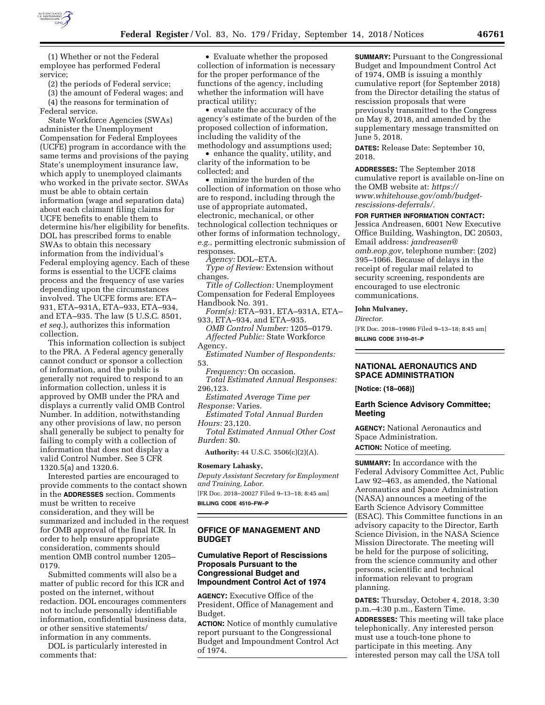

(1) Whether or not the Federal employee has performed Federal service;

(2) the periods of Federal service;

(3) the amount of Federal wages; and (4) the reasons for termination of Federal service.

State Workforce Agencies (SWAs) administer the Unemployment Compensation for Federal Employees (UCFE) program in accordance with the same terms and provisions of the paying State's unemployment insurance law, which apply to unemployed claimants who worked in the private sector. SWAs must be able to obtain certain information (wage and separation data) about each claimant filing claims for UCFE benefits to enable them to determine his/her eligibility for benefits. DOL has prescribed forms to enable SWAs to obtain this necessary information from the individual's Federal employing agency. Each of these forms is essential to the UCFE claims process and the frequency of use varies depending upon the circumstances involved. The UCFE forms are: ETA– 931, ETA–931A, ETA–933, ETA–934, and ETA–935. The law (5 U.S.C. 8501, *et seq.*), authorizes this information collection.

This information collection is subject to the PRA. A Federal agency generally cannot conduct or sponsor a collection of information, and the public is generally not required to respond to an information collection, unless it is approved by OMB under the PRA and displays a currently valid OMB Control Number. In addition, notwithstanding any other provisions of law, no person shall generally be subject to penalty for failing to comply with a collection of information that does not display a valid Control Number. See 5 CFR 1320.5(a) and 1320.6.

Interested parties are encouraged to provide comments to the contact shown in the **ADDRESSES** section. Comments must be written to receive consideration, and they will be summarized and included in the request for OMB approval of the final ICR. In order to help ensure appropriate consideration, comments should mention OMB control number 1205– 0179.

Submitted comments will also be a matter of public record for this ICR and posted on the internet, without redaction. DOL encourages commenters not to include personally identifiable information, confidential business data, or other sensitive statements/ information in any comments.

DOL is particularly interested in comments that:

• Evaluate whether the proposed collection of information is necessary for the proper performance of the functions of the agency, including whether the information will have practical utility;

• evaluate the accuracy of the agency's estimate of the burden of the proposed collection of information, including the validity of the methodology and assumptions used;

• enhance the quality, utility, and clarity of the information to be collected; and

• minimize the burden of the collection of information on those who are to respond, including through the use of appropriate automated, electronic, mechanical, or other technological collection techniques or other forms of information technology, *e.g.,* permitting electronic submission of responses.

*Agency:* DOL–ETA.

*Type of Review:* Extension without changes.

*Title of Collection:* Unemployment Compensation for Federal Employees Handbook No. 391.

*Form(s):* ETA–931, ETA–931A, ETA– 933, ETA–934, and ETA–935.

*OMB Control Number:* 1205–0179. *Affected Public:* State Workforce Agency.

*Estimated Number of Respondents:*  53.

*Frequency:* On occasion. *Total Estimated Annual Responses:*  296,123.

*Estimated Average Time per Response:* Varies.

*Estimated Total Annual Burden Hours:* 23,120.

*Total Estimated Annual Other Cost Burden:* \$0.

**Authority:** 44 U.S.C. 3506(c)(2)(A).

### **Rosemary Lahasky,**

*Deputy Assistant Secretary for Employment and Training, Labor.* 

[FR Doc. 2018–20027 Filed 9–13–18; 8:45 am] **BILLING CODE 4510–FW–P** 

## **OFFICE OF MANAGEMENT AND BUDGET**

# **Cumulative Report of Rescissions Proposals Pursuant to the Congressional Budget and Impoundment Control Act of 1974**

**AGENCY:** Executive Office of the President, Office of Management and Budget.

**ACTION:** Notice of monthly cumulative report pursuant to the Congressional Budget and Impoundment Control Act of 1974.

**SUMMARY:** Pursuant to the Congressional Budget and Impoundment Control Act of 1974, OMB is issuing a monthly cumulative report (for September 2018) from the Director detailing the status of rescission proposals that were previously transmitted to the Congress on May 8, 2018, and amended by the supplementary message transmitted on June 5, 2018.

**DATES:** Release Date: September 10, 2018.

**ADDRESSES:** The September 2018 cumulative report is available on-line on the OMB website at: *[https://](https://www.whitehouse.gov/omb/budget-rescissions-deferrals/) [www.whitehouse.gov/omb/budget](https://www.whitehouse.gov/omb/budget-rescissions-deferrals/)[rescissions-deferrals/.](https://www.whitehouse.gov/omb/budget-rescissions-deferrals/)* 

**FOR FURTHER INFORMATION CONTACT:**  Jessica Andreasen, 6001 New Executive

Office Building, Washington, DC 20503, Email address: *[jandreasen@](mailto:jandreasen@omb.eop.gov) [omb.eop.gov,](mailto:jandreasen@omb.eop.gov)* telephone number: (202) 395–1066. Because of delays in the receipt of regular mail related to security screening, respondents are encouraged to use electronic communications.

**John Mulvaney,** 

*Director.* 

[FR Doc. 2018–19986 Filed 9–13–18; 8:45 am] **BILLING CODE 3110–01–P** 

# **NATIONAL AERONAUTICS AND SPACE ADMINISTRATION**

**[Notice: (18–068)]** 

### **Earth Science Advisory Committee; Meeting**

**AGENCY:** National Aeronautics and Space Administration. **ACTION:** Notice of meeting.

**SUMMARY:** In accordance with the Federal Advisory Committee Act, Public Law 92–463, as amended, the National Aeronautics and Space Administration (NASA) announces a meeting of the Earth Science Advisory Committee (ESAC). This Committee functions in an advisory capacity to the Director, Earth Science Division, in the NASA Science Mission Directorate. The meeting will be held for the purpose of soliciting, from the science community and other persons, scientific and technical information relevant to program planning.

**DATES:** Thursday, October 4, 2018, 3:30 p.m.–4:30 p.m., Eastern Time.

**ADDRESSES:** This meeting will take place telephonically. Any interested person must use a touch-tone phone to participate in this meeting. Any interested person may call the USA toll